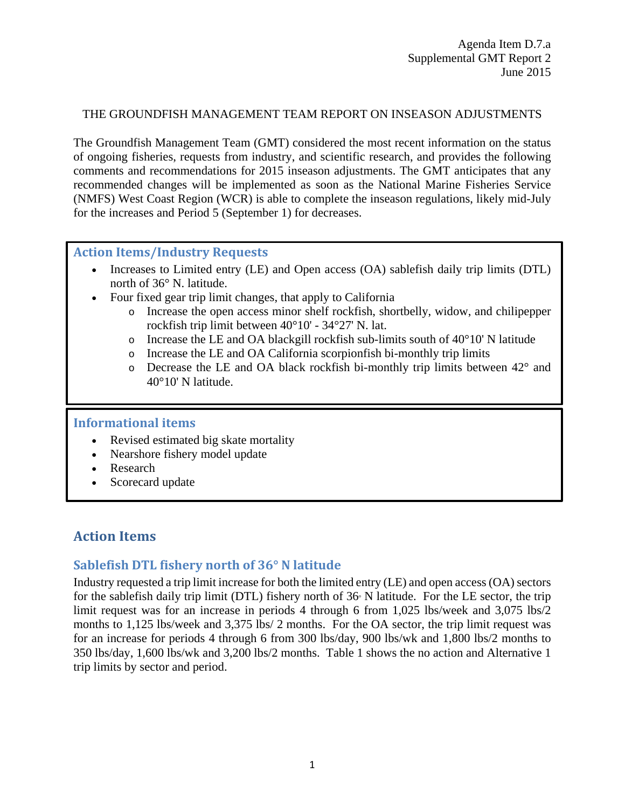#### THE GROUNDFISH MANAGEMENT TEAM REPORT ON INSEASON ADJUSTMENTS

The Groundfish Management Team (GMT) considered the most recent information on the status of ongoing fisheries, requests from industry, and scientific research, and provides the following comments and recommendations for 2015 inseason adjustments. The GMT anticipates that any recommended changes will be implemented as soon as the National Marine Fisheries Service (NMFS) West Coast Region (WCR) is able to complete the inseason regulations, likely mid-July for the increases and Period 5 (September 1) for decreases.

#### **Action Items/Industry Requests**

- Increases to Limited entry (LE) and Open access (OA) sablefish daily trip limits (DTL) north of 36° N. latitude.
- Four fixed gear trip limit changes, that apply to California
	- o Increase the open access minor shelf rockfish, shortbelly, widow, and chilipepper rockfish trip limit between 40°10' - 34°27' N. lat.
	- $\circ$  Increase the LE and OA blackgill rockfish sub-limits south of 40 $\degree$ 10' N latitude
	- o Increase the LE and OA California scorpionfish bi-monthly trip limits
	- o Decrease the LE and OA black rockfish bi-monthly trip limits between 42° and 40°10' N latitude.

### **Informational items**

- Revised estimated big skate mortality
- Nearshore fishery model update
- **Research**
- Scorecard update

# **Action Items**

## **Sablefish DTL fishery north of 36° N latitude**

Industry requested a trip limit increase for both the limited entry (LE) and open access (OA) sectors for the sablefish daily trip limit (DTL) fishery north of  $36\textdegree$  N latitude. For the LE sector, the trip limit request was for an increase in periods 4 through 6 from 1,025 lbs/week and 3,075 lbs/2 months to 1,125 lbs/week and 3,375 lbs/ 2 months. For the OA sector, the trip limit request was for an increase for periods 4 through 6 from 300 lbs/day, 900 lbs/wk and 1,800 lbs/2 months to 350 lbs/day, 1,600 lbs/wk and 3,200 lbs/2 months. [Table 1](#page-1-0) shows the no action and Alternative 1 trip limits by sector and period.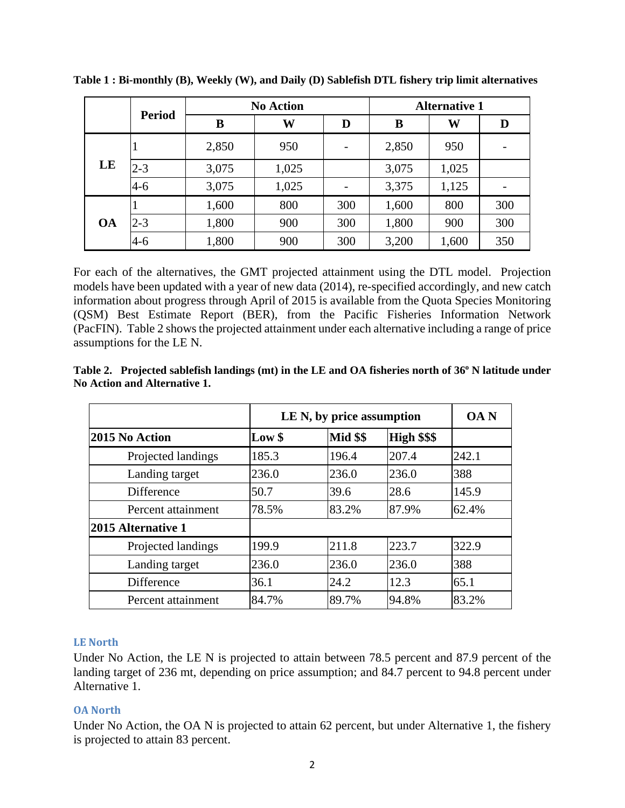|           |               | <b>No Action</b> |       |     | <b>Alternative 1</b> |       |     |
|-----------|---------------|------------------|-------|-----|----------------------|-------|-----|
|           | <b>Period</b> | B                | W     | D   | B                    | W     | D   |
|           | 1             | 2,850            | 950   |     | 2,850                | 950   |     |
| LE        | $2 - 3$       | 3,075            | 1,025 |     | 3,075                | 1,025 |     |
|           | $4 - 6$       | 3,075            | 1,025 |     | 3,375                | 1,125 |     |
|           | $\mathbf{I}$  | 1,600            | 800   | 300 | 1,600                | 800   | 300 |
| <b>OA</b> | $2 - 3$       | 1,800            | 900   | 300 | 1,800                | 900   | 300 |
|           | $4 - 6$       | 1,800            | 900   | 300 | 3,200                | 1,600 | 350 |

<span id="page-1-0"></span>**Table 1 : Bi-monthly (B), Weekly (W), and Daily (D) Sablefish DTL fishery trip limit alternatives**

For each of the alternatives, the GMT projected attainment using the DTL model. Projection models have been updated with a year of new data (2014), re-specified accordingly, and new catch information about progress through April of 2015 is available from the Quota Species Monitoring (QSM) Best Estimate Report (BER), from the Pacific Fisheries Information Network (PacFIN). [Table 2](#page-1-1) shows the projected attainment under each alternative including a range of price assumptions for the LE N.

<span id="page-1-1"></span>

| Table 2. Projected sablefish landings (mt) in the LE and OA fisheries north of 36° N latitude under |
|-----------------------------------------------------------------------------------------------------|
| No Action and Alternative 1.                                                                        |
|                                                                                                     |

|                    |        | LE N, by price assumption |             |       |
|--------------------|--------|---------------------------|-------------|-------|
| 2015 No Action     | Low \$ | <b>Mid \$\$</b>           | High \$\$\$ |       |
| Projected landings | 185.3  | 196.4                     | 207.4       | 242.1 |
| Landing target     | 236.0  | 236.0                     | 236.0       | 388   |
| Difference         | 50.7   | 39.6                      | 28.6        | 145.9 |
| Percent attainment | 78.5%  | 83.2%                     | 87.9%       | 62.4% |
| 2015 Alternative 1 |        |                           |             |       |
| Projected landings | 199.9  | 211.8                     | 223.7       | 322.9 |
| Landing target     | 236.0  | 236.0                     | 236.0       | 388   |
| Difference         | 36.1   | 24.2                      | 12.3        | 65.1  |
| Percent attainment | 84.7%  | 89.7%                     | 94.8%       | 83.2% |

#### **LE North**

Under No Action, the LE N is projected to attain between 78.5 percent and 87.9 percent of the landing target of 236 mt, depending on price assumption; and 84.7 percent to 94.8 percent under Alternative 1.

#### **OA North**

Under No Action, the OA N is projected to attain 62 percent, but under Alternative 1, the fishery is projected to attain 83 percent.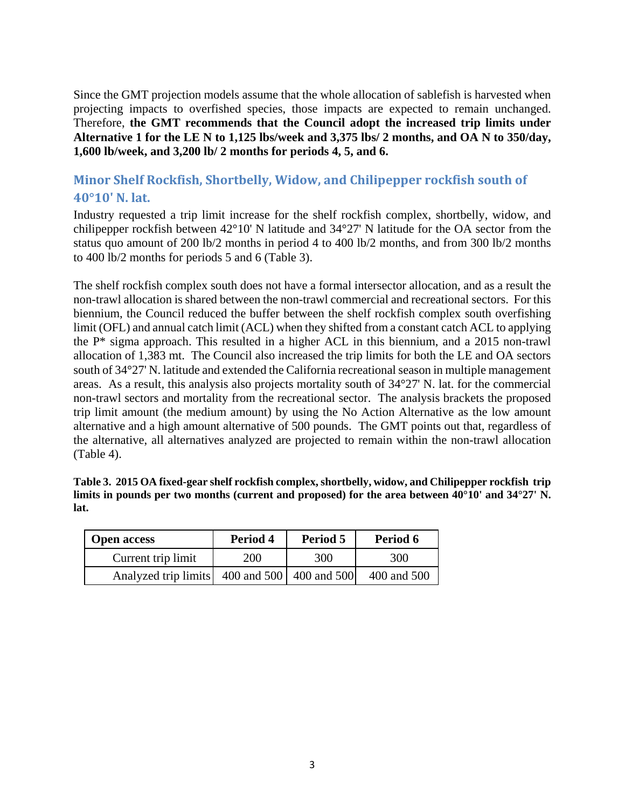Since the GMT projection models assume that the whole allocation of sablefish is harvested when projecting impacts to overfished species, those impacts are expected to remain unchanged. Therefore, **the GMT recommends that the Council adopt the increased trip limits under Alternative 1 for the LE N to 1,125 lbs/week and 3,375 lbs/ 2 months, and OA N to 350/day, 1,600 lb/week, and 3,200 lb/ 2 months for periods 4, 5, and 6.**

# **Minor Shelf Rockfish, Shortbelly, Widow, and Chilipepper rockfish south of 40°10' N. lat.**

Industry requested a trip limit increase for the shelf rockfish complex, shortbelly, widow, and chilipepper rockfish between 42°10' N latitude and 34°27' N latitude for the OA sector from the status quo amount of 200 lb/2 months in period 4 to 400 lb/2 months, and from 300 lb/2 months to 400 lb/2 months for periods 5 and 6 (Table 3).

The shelf rockfish complex south does not have a formal intersector allocation, and as a result the non-trawl allocation is shared between the non-trawl commercial and recreational sectors. For this biennium, the Council reduced the buffer between the shelf rockfish complex south overfishing limit (OFL) and annual catch limit (ACL) when they shifted from a constant catch ACL to applying the P\* sigma approach. This resulted in a higher ACL in this biennium, and a 2015 non-trawl allocation of 1,383 mt. The Council also increased the trip limits for both the LE and OA sectors south of 34°27' N. latitude and extended the California recreational season in multiple management areas. As a result, this analysis also projects mortality south of 34°27' N. lat. for the commercial non-trawl sectors and mortality from the recreational sector. The analysis brackets the proposed trip limit amount (the medium amount) by using the No Action Alternative as the low amount alternative and a high amount alternative of 500 pounds. The GMT points out that, regardless of the alternative, all alternatives analyzed are projected to remain within the non-trawl allocation (Table 4).

|      | Table 3. 2015 OA fixed-gear shelf rockfish complex, shortbelly, widow, and Chilipepper rockfish trip               |  |
|------|--------------------------------------------------------------------------------------------------------------------|--|
|      | limits in pounds per two months (current and proposed) for the area between $40^{\circ}10'$ and $34^{\circ}27'$ N. |  |
| lat. |                                                                                                                    |  |

| <b>Open access</b>                           | Period 5<br>Period 4 |     | Period 6    |  |
|----------------------------------------------|----------------------|-----|-------------|--|
| Current trip limit                           | <b>200</b>           | 300 | 300         |  |
| Analyzed trip limits 400 and 500 400 and 500 |                      |     | 400 and 500 |  |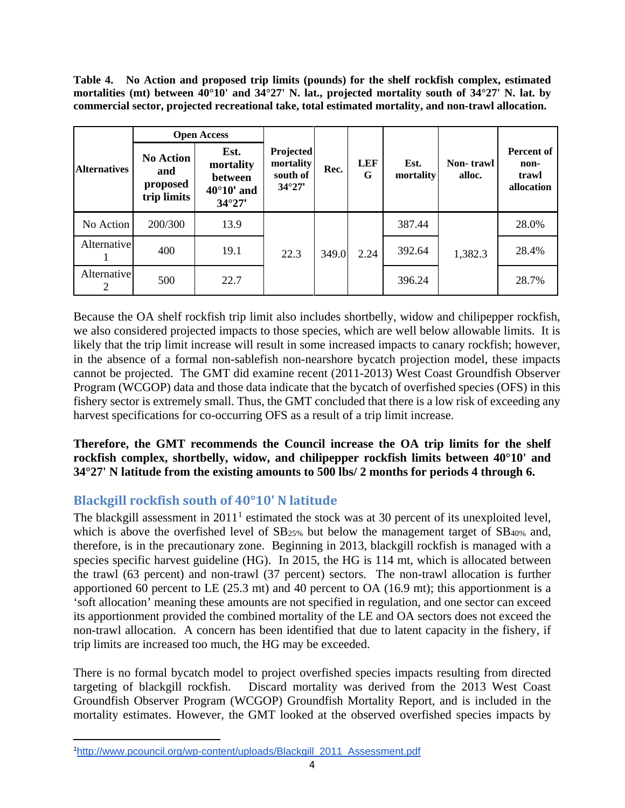**Table 4. No Action and proposed trip limits (pounds) for the shelf rockfish complex, estimated mortalities (mt) between 40°10' and 34°27' N. lat., projected mortality south of 34°27' N. lat. by commercial sector, projected recreational take, total estimated mortality, and non-trawl allocation.**

|                     | <b>Open Access</b>                                 |                                                                        |                                                       |       |                 |                   |                     |                                                  |
|---------------------|----------------------------------------------------|------------------------------------------------------------------------|-------------------------------------------------------|-------|-----------------|-------------------|---------------------|--------------------------------------------------|
| <b>Alternatives</b> | <b>No Action</b><br>and<br>proposed<br>trip limits | Est.<br>mortality<br>between<br>$40^{\circ}10'$ and<br>$34^{\circ}27'$ | Projected<br>mortality<br>south of<br>$34^{\circ}27'$ | Rec.  | <b>LEF</b><br>G | Est.<br>mortality | Non-trawl<br>alloc. | <b>Percent of</b><br>non-<br>trawl<br>allocation |
| No Action           | 200/300                                            | 13.9                                                                   |                                                       |       |                 | 387.44            |                     | 28.0%                                            |
| Alternative         | 400                                                | 19.1                                                                   | 22.3                                                  | 349.0 | 2.24            | 392.64            | 1,382.3             | 28.4%                                            |
| Alternative<br>2    | 500                                                | 22.7                                                                   |                                                       |       |                 | 396.24            |                     | 28.7%                                            |

Because the OA shelf rockfish trip limit also includes shortbelly, widow and chilipepper rockfish, we also considered projected impacts to those species, which are well below allowable limits. It is likely that the trip limit increase will result in some increased impacts to canary rockfish; however, in the absence of a formal non-sablefish non-nearshore bycatch projection model, these impacts cannot be projected. The GMT did examine recent (2011-2013) West Coast Groundfish Observer Program (WCGOP) data and those data indicate that the bycatch of overfished species (OFS) in this fishery sector is extremely small. Thus, the GMT concluded that there is a low risk of exceeding any harvest specifications for co-occurring OFS as a result of a trip limit increase.

**Therefore, the GMT recommends the Council increase the OA trip limits for the shelf rockfish complex, shortbelly, widow, and chilipepper rockfish limits between 40°10' and 34°27' N latitude from the existing amounts to 500 lbs/ 2 months for periods 4 through 6.**

# **Blackgill rockfish south of 40°10' N latitude**

The blackgill assessment in  $2011<sup>1</sup>$  $2011<sup>1</sup>$  $2011<sup>1</sup>$  estimated the stock was at 30 percent of its unexploited level, which is above the overfished level of SB<sub>25%</sub> but below the management target of SB<sub>40%</sub> and, therefore, is in the precautionary zone. Beginning in 2013, blackgill rockfish is managed with a species specific harvest guideline (HG). In 2015, the HG is 114 mt, which is allocated between the trawl (63 percent) and non-trawl (37 percent) sectors. The non-trawl allocation is further apportioned 60 percent to LE (25.3 mt) and 40 percent to OA (16.9 mt); this apportionment is a 'soft allocation' meaning these amounts are not specified in regulation, and one sector can exceed its apportionment provided the combined mortality of the LE and OA sectors does not exceed the non-trawl allocation. A concern has been identified that due to latent capacity in the fishery, if trip limits are increased too much, the HG may be exceeded.

There is no formal bycatch model to project overfished species impacts resulting from directed targeting of blackgill rockfish. Discard mortality was derived from the 2013 West Coast Groundfish Observer Program (WCGOP) Groundfish Mortality Report, and is included in the mortality estimates. However, the GMT looked at the observed overfished species impacts by

<span id="page-3-0"></span> $\overline{1}$ [http://www.pcouncil.org/wp-content/uploads/Blackgill\\_2011\\_Assessment.pdf](http://www.pcouncil.org/wp-content/uploads/Blackgill_2011_Assessment.pdf)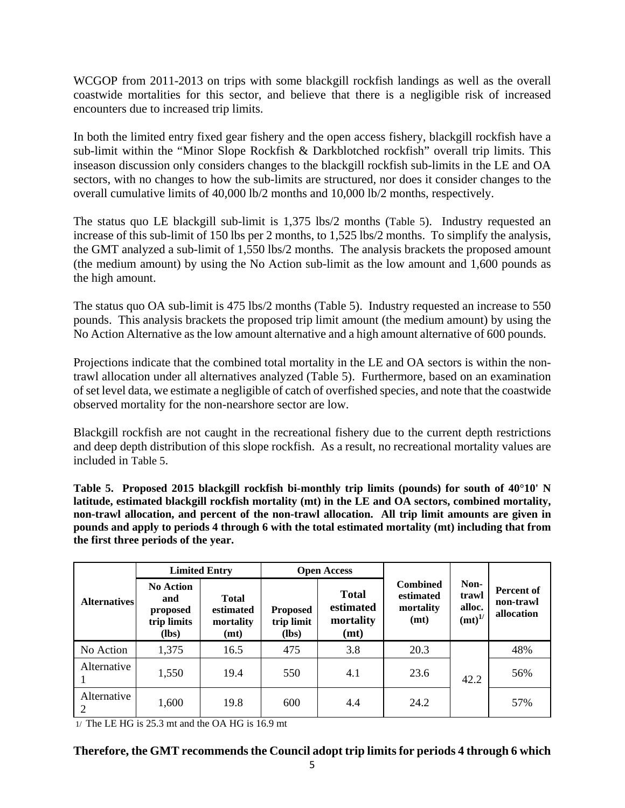WCGOP from 2011-2013 on trips with some blackgill rockfish landings as well as the overall coastwide mortalities for this sector, and believe that there is a negligible risk of increased encounters due to increased trip limits.

In both the limited entry fixed gear fishery and the open access fishery, blackgill rockfish have a sub-limit within the "Minor Slope Rockfish & Darkblotched rockfish" overall trip limits. This inseason discussion only considers changes to the blackgill rockfish sub-limits in the LE and OA sectors, with no changes to how the sub-limits are structured, nor does it consider changes to the overall cumulative limits of 40,000 lb/2 months and 10,000 lb/2 months, respectively.

The status quo LE blackgill sub-limit is 1,375 lbs/2 months [\(Table 5\)](#page-4-0). Industry requested an increase of this sub-limit of 150 lbs per 2 months, to 1,525 lbs/2 months. To simplify the analysis, the GMT analyzed a sub-limit of 1,550 lbs/2 months. The analysis brackets the proposed amount (the medium amount) by using the No Action sub-limit as the low amount and 1,600 pounds as the high amount.

The status quo OA sub-limit is 475 lbs/2 months [\(Table 5\)](#page-4-0). Industry requested an increase to 550 pounds. This analysis brackets the proposed trip limit amount (the medium amount) by using the No Action Alternative as the low amount alternative and a high amount alternative of 600 pounds.

Projections indicate that the combined total mortality in the LE and OA sectors is within the nontrawl allocation under all alternatives analyzed [\(Table 5\)](#page-4-0). Furthermore, based on an examination of set level data, we estimate a negligible of catch of overfished species, and note that the coastwide observed mortality for the non-nearshore sector are low.

Blackgill rockfish are not caught in the recreational fishery due to the current depth restrictions and deep depth distribution of this slope rockfish. As a result, no recreational mortality values are included in [Table 5.](#page-4-0)

<span id="page-4-0"></span>**Table 5. Proposed 2015 blackgill rockfish bi-monthly trip limits (pounds) for south of 40°10' N latitude, estimated blackgill rockfish mortality (mt) in the LE and OA sectors, combined mortality, non-trawl allocation, and percent of the non-trawl allocation. All trip limit amounts are given in pounds and apply to periods 4 through 6 with the total estimated mortality (mt) including that from the first three periods of the year.**

|                               | <b>Limited Entry</b>                                          |                                                | <b>Open Access</b>                       |                                                |                                                   |                                               |                                              |
|-------------------------------|---------------------------------------------------------------|------------------------------------------------|------------------------------------------|------------------------------------------------|---------------------------------------------------|-----------------------------------------------|----------------------------------------------|
| <b>Alternatives</b>           | <b>No Action</b><br>and<br>proposed<br>trip limits<br>$(lbs)$ | <b>Total</b><br>estimated<br>mortality<br>(mt) | <b>Proposed</b><br>trip limit<br>$(lbs)$ | <b>Total</b><br>estimated<br>mortality<br>(mt) | <b>Combined</b><br>estimated<br>mortality<br>(mt) | Non-<br>trawl<br>alloc.<br>(mt) <sup>1/</sup> | <b>Percent of</b><br>non-trawl<br>allocation |
| No Action                     | 1,375                                                         | 16.5                                           | 475                                      | 3.8                                            | 20.3                                              |                                               | 48%                                          |
| Alternative                   | 1,550                                                         | 19.4                                           | 550                                      | 4.1                                            | 23.6                                              | 42.2                                          | 56%                                          |
| Alternative<br>$\overline{2}$ | 1,600                                                         | 19.8                                           | 600                                      | 4.4                                            | 24.2                                              |                                               | 57%                                          |

1/ The LE HG is 25.3 mt and the OA HG is 16.9 mt

#### **Therefore, the GMT recommends the Council adopt trip limits for periods 4 through 6 which**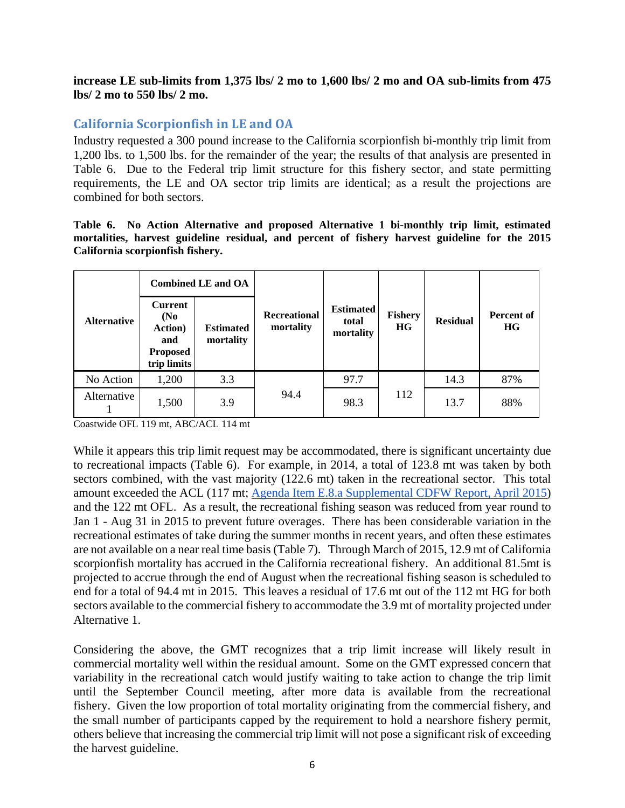**increase LE sub-limits from 1,375 lbs/ 2 mo to 1,600 lbs/ 2 mo and OA sub-limits from 475 lbs/ 2 mo to 550 lbs/ 2 mo.**

### **California Scorpionfish in LE and OA**

Industry requested a 300 pound increase to the California scorpionfish bi-monthly trip limit from 1,200 lbs. to 1,500 lbs. for the remainder of the year; the results of that analysis are presented in [Table 6.](#page-5-0) Due to the Federal trip limit structure for this fishery sector, and state permitting requirements, the LE and OA sector trip limits are identical; as a result the projections are combined for both sectors.

<span id="page-5-0"></span>**Table 6. No Action Alternative and proposed Alternative 1 bi-monthly trip limit, estimated mortalities, harvest guideline residual, and percent of fishery harvest guideline for the 2015 California scorpionfish fishery.**

|                    | <b>Combined LE and OA</b>                                                                       |                               |                                  |                                        |                      |                 |                                |
|--------------------|-------------------------------------------------------------------------------------------------|-------------------------------|----------------------------------|----------------------------------------|----------------------|-----------------|--------------------------------|
| <b>Alternative</b> | <b>Current</b><br>(N <sub>0</sub> )<br><b>Action</b> )<br>and<br><b>Proposed</b><br>trip limits | <b>Estimated</b><br>mortality | <b>Recreational</b><br>mortality | <b>Estimated</b><br>total<br>mortality | <b>Fishery</b><br>HG | <b>Residual</b> | <b>Percent of</b><br><b>HG</b> |
| No Action          | 1,200                                                                                           | 3.3                           |                                  | 97.7                                   |                      | 14.3            | 87%                            |
| Alternative        | 1,500                                                                                           | 3.9                           | 94.4                             | 98.3                                   | 112                  | 13.7            | 88%                            |

Coastwide OFL 119 mt, ABC/ACL 114 mt

While it appears this trip limit request may be accommodated, there is significant uncertainty due to recreational impacts [\(Table 6\)](#page-5-0). For example, in 2014, a total of 123.8 mt was taken by both sectors combined, with the vast majority (122.6 mt) taken in the recreational sector. This total amount exceeded the ACL (117 mt; [Agenda Item E.8.a Supplemental CDFW Report, April 2015\)](http://www.pcouncil.org/wp-content/uploads/2015/06/D7a_Sup_CDFW_Rpt_JUN2015BB.pdf) and the 122 mt OFL. As a result, the recreational fishing season was reduced from year round to Jan 1 - Aug 31 in 2015 to prevent future overages. There has been considerable variation in the recreational estimates of take during the summer months in recent years, and often these estimates are not available on a near real time basis [\(Table 7\)](#page-6-0). Through March of 2015, 12.9 mt of California scorpionfish mortality has accrued in the California recreational fishery. An additional 81.5mt is projected to accrue through the end of August when the recreational fishing season is scheduled to end for a total of 94.4 mt in 2015. This leaves a residual of 17.6 mt out of the 112 mt HG for both sectors available to the commercial fishery to accommodate the 3.9 mt of mortality projected under Alternative 1.

Considering the above, the GMT recognizes that a trip limit increase will likely result in commercial mortality well within the residual amount. Some on the GMT expressed concern that variability in the recreational catch would justify waiting to take action to change the trip limit until the September Council meeting, after more data is available from the recreational fishery. Given the low proportion of total mortality originating from the commercial fishery, and the small number of participants capped by the requirement to hold a nearshore fishery permit, others believe that increasing the commercial trip limit will not pose a significant risk of exceeding the harvest guideline.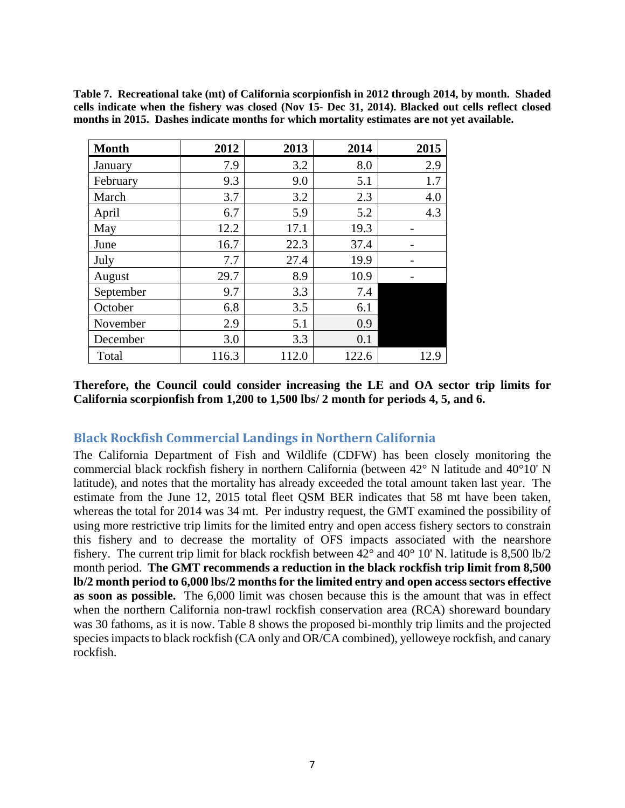<span id="page-6-0"></span>**Table 7. Recreational take (mt) of California scorpionfish in 2012 through 2014, by month. Shaded cells indicate when the fishery was closed (Nov 15- Dec 31, 2014). Blacked out cells reflect closed months in 2015. Dashes indicate months for which mortality estimates are not yet available.**

| <b>Month</b> | 2012  | 2013  | 2014  | 2015 |
|--------------|-------|-------|-------|------|
| January      | 7.9   | 3.2   | 8.0   | 2.9  |
| February     | 9.3   | 9.0   | 5.1   | 1.7  |
| March        | 3.7   | 3.2   | 2.3   | 4.0  |
| April        | 6.7   | 5.9   | 5.2   | 4.3  |
| May          | 12.2  | 17.1  | 19.3  | -    |
| June         | 16.7  | 22.3  | 37.4  |      |
| July         | 7.7   | 27.4  | 19.9  |      |
| August       | 29.7  | 8.9   | 10.9  |      |
| September    | 9.7   | 3.3   | 7.4   |      |
| October      | 6.8   | 3.5   | 6.1   |      |
| November     | 2.9   | 5.1   | 0.9   |      |
| December     | 3.0   | 3.3   | 0.1   |      |
| Total        | 116.3 | 112.0 | 122.6 | 12.9 |

**Therefore, the Council could consider increasing the LE and OA sector trip limits for California scorpionfish from 1,200 to 1,500 lbs/ 2 month for periods 4, 5, and 6.**

### **Black Rockfish Commercial Landings in Northern California**

The California Department of Fish and Wildlife (CDFW) has been closely monitoring the commercial black rockfish fishery in northern California (between 42° N latitude and 40°10' N latitude), and notes that the mortality has already exceeded the total amount taken last year. The estimate from the June 12, 2015 total fleet QSM BER indicates that 58 mt have been taken, whereas the total for 2014 was 34 mt. Per industry request, the GMT examined the possibility of using more restrictive trip limits for the limited entry and open access fishery sectors to constrain this fishery and to decrease the mortality of OFS impacts associated with the nearshore fishery. The current trip limit for black rockfish between 42° and 40° 10' N. latitude is 8,500 lb/2 month period. **The GMT recommends a reduction in the black rockfish trip limit from 8,500 lb/2 month period to 6,000 lbs/2 months for the limited entry and open access sectors effective as soon as possible.** The 6,000 limit was chosen because this is the amount that was in effect when the northern California non-trawl rockfish conservation area (RCA) shoreward boundary was 30 fathoms, as it is now. Table 8 shows the proposed bi-monthly trip limits and the projected species impacts to black rockfish (CA only and OR/CA combined), yelloweye rockfish, and canary rockfish.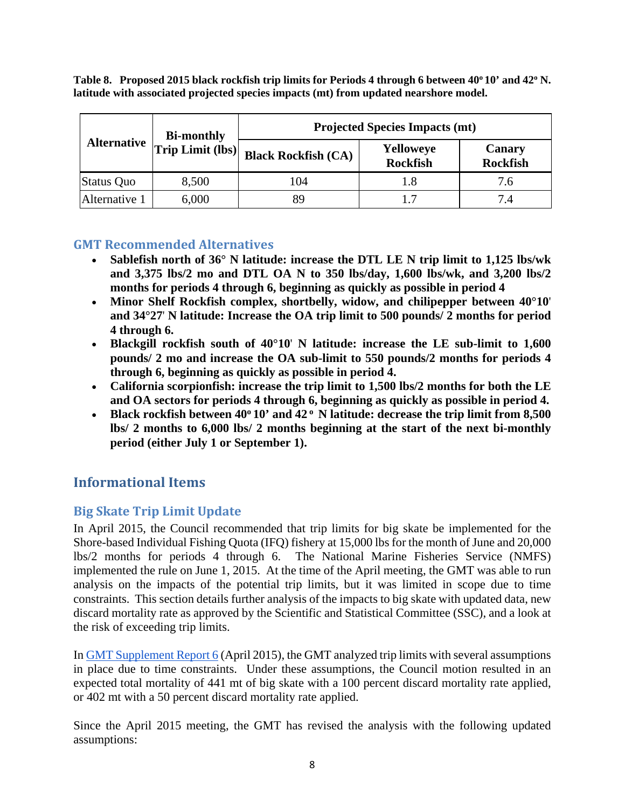Table 8. Proposed 2015 black rockfish trip limits for Periods 4 through 6 between 40°10' and 42° N. **latitude with associated projected species impacts (mt) from updated nearshore model.**

|                    | <b>Bi-monthly</b> | <b>Projected Species Impacts (mt)</b> |                              |                           |  |  |
|--------------------|-------------------|---------------------------------------|------------------------------|---------------------------|--|--|
| <b>Alternative</b> | Trip Limit (lbs)  | <b>Black Rockfish (CA)</b>            | Yelloweye<br><b>Rockfish</b> | Canary<br><b>Rockfish</b> |  |  |
| Status Quo         | 8,500             | 104                                   | 1.8                          | 7.6                       |  |  |
| Alternative 1      | 6,000             | 89                                    |                              | 74                        |  |  |

## **GMT Recommended Alternatives**

- **Sablefish north of 36° N latitude: increase the DTL LE N trip limit to 1,125 lbs/wk and 3,375 lbs/2 mo and DTL OA N to 350 lbs/day, 1,600 lbs/wk, and 3,200 lbs/2 months for periods 4 through 6, beginning as quickly as possible in period 4**
- **Minor Shelf Rockfish complex, shortbelly, widow, and chilipepper between 40°10**' **and 34°27**' **N latitude: Increase the OA trip limit to 500 pounds/ 2 months for period 4 through 6.**
- **Blackgill rockfish south of 40°10**' **N latitude: increase the LE sub-limit to 1,600 pounds/ 2 mo and increase the OA sub-limit to 550 pounds/2 months for periods 4 through 6, beginning as quickly as possible in period 4.**
- **California scorpionfish: increase the trip limit to 1,500 lbs/2 months for both the LE and OA sectors for periods 4 through 6, beginning as quickly as possible in period 4.**
- Black rockfish between 40<sup>°</sup> 10' and 42<sup>°</sup> N latitude: decrease the trip limit from 8,500 **lbs/ 2 months to 6,000 lbs/ 2 months beginning at the start of the next bi-monthly period (either July 1 or September 1).**

# **Informational Items**

# **Big Skate Trip Limit Update**

In April 2015, the Council recommended that trip limits for big skate be implemented for the Shore-based Individual Fishing Quota (IFQ) fishery at 15,000 lbs for the month of June and 20,000 lbs/2 months for periods 4 through 6. The National Marine Fisheries Service (NMFS) implemented the rule on June 1, 2015. At the time of the April meeting, the GMT was able to run analysis on the impacts of the potential trip limits, but it was limited in scope due to time constraints. This section details further analysis of the impacts to big skate with updated data, new discard mortality rate as approved by the Scientific and Statistical Committee (SSC), and a look at the risk of exceeding trip limits.

I[n GMT Supplement Report 6](http://www.pcouncil.org/wp-content/uploads/2015/04/E8a_SupGMT_Rpt6_APR2015BB.pdf) (April 2015), the GMT analyzed trip limits with several assumptions in place due to time constraints. Under these assumptions, the Council motion resulted in an expected total mortality of 441 mt of big skate with a 100 percent discard mortality rate applied, or 402 mt with a 50 percent discard mortality rate applied.

Since the April 2015 meeting, the GMT has revised the analysis with the following updated assumptions: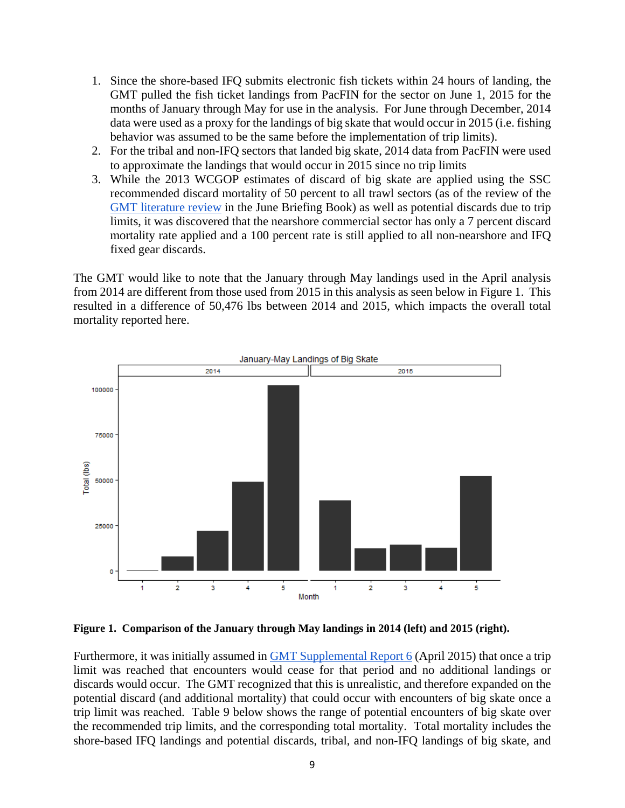- 1. Since the shore-based IFQ submits electronic fish tickets within 24 hours of landing, the GMT pulled the fish ticket landings from PacFIN for the sector on June 1, 2015 for the months of January through May for use in the analysis. For June through December, 2014 data were used as a proxy for the landings of big skate that would occur in 2015 (i.e. fishing behavior was assumed to be the same before the implementation of trip limits).
- 2. For the tribal and non-IFQ sectors that landed big skate, 2014 data from PacFIN were used to approximate the landings that would occur in 2015 since no trip limits
- 3. While the 2013 WCGOP estimates of discard of big skate are applied using the SSC recommended discard mortality of 50 percent to all trawl sectors (as of the review of the [GMT literature review](http://www.pcouncil.org/wp-content/uploads/2015/05/D7a_GMT_Rpt_Discard_JUN2015BB.pdf) in the June Briefing Book) as well as potential discards due to trip limits, it was discovered that the nearshore commercial sector has only a 7 percent discard mortality rate applied and a 100 percent rate is still applied to all non-nearshore and IFQ fixed gear discards.

The GMT would like to note that the January through May landings used in the April analysis from 2014 are different from those used from 2015 in this analysis as seen below in [Figure 1.](#page-8-0) This resulted in a difference of 50,476 lbs between 2014 and 2015, which impacts the overall total mortality reported here.



#### <span id="page-8-0"></span>**Figure 1. Comparison of the January through May landings in 2014 (left) and 2015 (right).**

Furthermore, it was initially assumed in **GMT** Supplemental Report 6 (April 2015) that once a trip limit was reached that encounters would cease for that period and no additional landings or discards would occur. The GMT recognized that this is unrealistic, and therefore expanded on the potential discard (and additional mortality) that could occur with encounters of big skate once a trip limit was reached. [Table 9](#page-9-0) below shows the range of potential encounters of big skate over the recommended trip limits, and the corresponding total mortality. Total mortality includes the shore-based IFQ landings and potential discards, tribal, and non-IFQ landings of big skate, and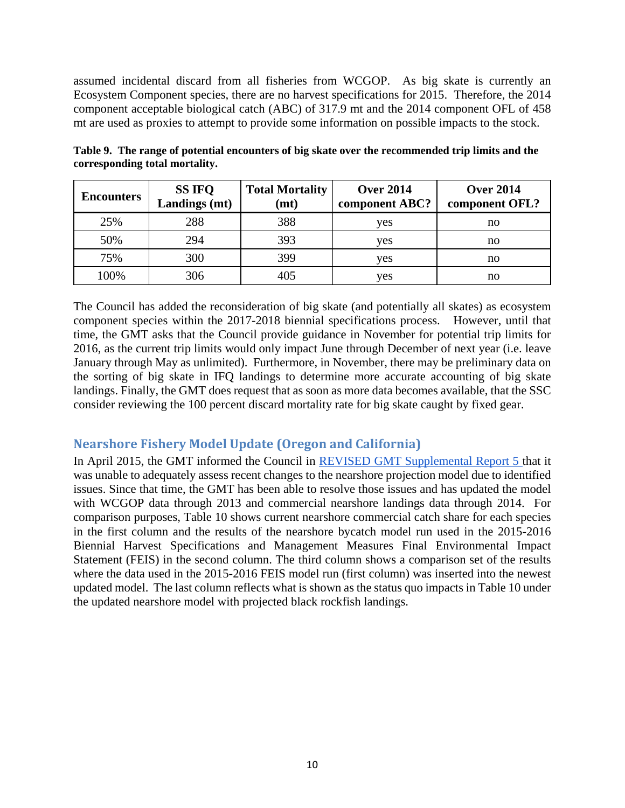assumed incidental discard from all fisheries from WCGOP. As big skate is currently an Ecosystem Component species, there are no harvest specifications for 2015. Therefore, the 2014 component acceptable biological catch (ABC) of 317.9 mt and the 2014 component OFL of 458 mt are used as proxies to attempt to provide some information on possible impacts to the stock.

<span id="page-9-0"></span>

|                                | Table 9. The range of potential encounters of big skate over the recommended trip limits and the |  |
|--------------------------------|--------------------------------------------------------------------------------------------------|--|
| corresponding total mortality. |                                                                                                  |  |

| <b>Encounters</b> | <b>SS IFQ</b><br>Landings (mt) | <b>Total Mortality</b><br>(mt) | <b>Over 2014</b><br>component ABC? | <b>Over 2014</b><br>component OFL? |
|-------------------|--------------------------------|--------------------------------|------------------------------------|------------------------------------|
| 25%               | 288                            | 388                            | yes                                | no                                 |
| 50%               | 294                            | 393                            | yes                                | no                                 |
| 75%               | 300                            | 399                            | yes                                | no                                 |
| 100%              | 306                            | 405                            | yes                                | no                                 |

The Council has added the reconsideration of big skate (and potentially all skates) as ecosystem component species within the 2017-2018 biennial specifications process. However, until that time, the GMT asks that the Council provide guidance in November for potential trip limits for 2016, as the current trip limits would only impact June through December of next year (i.e. leave January through May as unlimited). Furthermore, in November, there may be preliminary data on the sorting of big skate in IFQ landings to determine more accurate accounting of big skate landings. Finally, the GMT does request that as soon as more data becomes available, that the SSC consider reviewing the 100 percent discard mortality rate for big skate caught by fixed gear.

## **Nearshore Fishery Model Update (Oregon and California)**

In April 2015, the GMT informed the Council in [REVISED GMT Supplemental Report 5 t](http://www.pcouncil.org/wp-content/uploads/2015/04/E8a_SupGMT_REVISEDRpt5_APR2015BB.pdf)hat it was unable to adequately assess recent changes to the nearshore projection model due to identified issues. Since that time, the GMT has been able to resolve those issues and has updated the model with WCGOP data through 2013 and commercial nearshore landings data through 2014. For comparison purposes, [Table 10](#page-10-0) shows current nearshore commercial catch share for each species in the first column and the results of the nearshore bycatch model run used in the 2015-2016 Biennial Harvest Specifications and Management Measures Final Environmental Impact Statement (FEIS) in the second column. The third column shows a comparison set of the results where the data used in the 2015-2016 FEIS model run (first column) was inserted into the newest updated model. The last column reflects what is shown as the status quo impacts i[n Table 10](#page-10-0) under the updated nearshore model with projected black rockfish landings.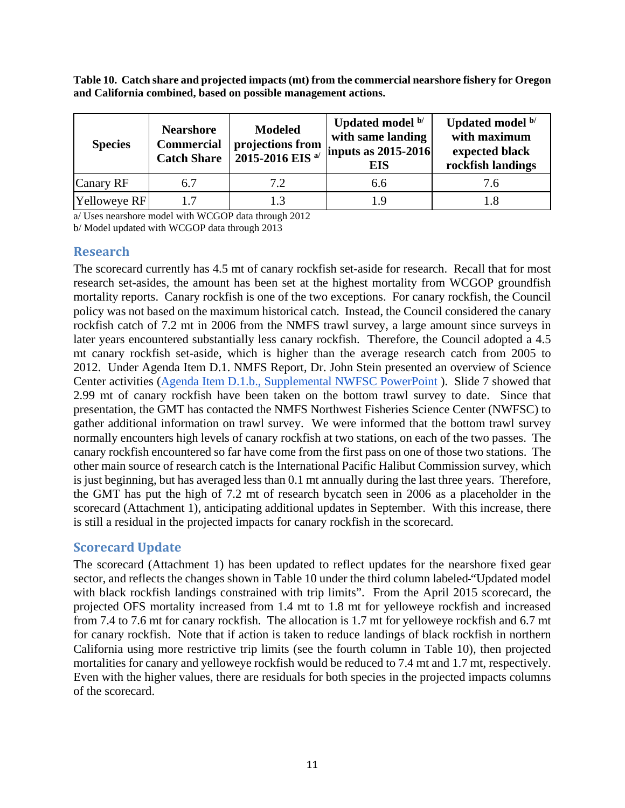<span id="page-10-0"></span>**Table 10. Catch share and projected impacts (mt) from the commercial nearshore fishery for Oregon and California combined, based on possible management actions.**

| <b>Species</b> | <b>Nearshore</b><br><b>Commercial</b><br>Catch Share | <b>Modeled</b><br>projections from<br>$2015 - 2016$ EIS <sup>a/</sup> | Updated model b/<br>with same landing<br>$\ln \frac{1}{10}$ inputs as 2015-2016<br><b>EIS</b> | Updated model b/<br>with maximum<br>expected black<br>rockfish landings |  |  |
|----------------|------------------------------------------------------|-----------------------------------------------------------------------|-----------------------------------------------------------------------------------------------|-------------------------------------------------------------------------|--|--|
| Canary RF      | 6.7                                                  | 7.2                                                                   | 6.6                                                                                           | 7.6                                                                     |  |  |
| Yelloweye RF   | 17                                                   |                                                                       | 19                                                                                            |                                                                         |  |  |

a/ Uses nearshore model with WCGOP data through 2012

b/ Model updated with WCGOP data through 2013

## **Research**

The scorecard currently has 4.5 mt of canary rockfish set-aside for research. Recall that for most research set-asides, the amount has been set at the highest mortality from WCGOP groundfish mortality reports. Canary rockfish is one of the two exceptions. For canary rockfish, the Council policy was not based on the maximum historical catch. Instead, the Council considered the canary rockfish catch of 7.2 mt in 2006 from the NMFS trawl survey, a large amount since surveys in later years encountered substantially less canary rockfish. Therefore, the Council adopted a 4.5 mt canary rockfish set-aside, which is higher than the average research catch from 2005 to 2012. Under Agenda Item D.1. NMFS Report, Dr. John Stein presented an overview of Science Center activities [\(Agenda Item D.1.b., Supplemental NWFSC PowerPoint](http://www.pcouncil.org/wp-content/uploads/2015/06/D1b_Sup_NWFSC_PPT_E-ONLY_JUN2015BB.pdf) ). Slide 7 showed that 2.99 mt of canary rockfish have been taken on the bottom trawl survey to date. Since that presentation, the GMT has contacted the NMFS Northwest Fisheries Science Center (NWFSC) to gather additional information on trawl survey. We were informed that the bottom trawl survey normally encounters high levels of canary rockfish at two stations, on each of the two passes. The canary rockfish encountered so far have come from the first pass on one of those two stations. The other main source of research catch is the International Pacific Halibut Commission survey, which is just beginning, but has averaged less than 0.1 mt annually during the last three years. Therefore, the GMT has put the high of 7.2 mt of research bycatch seen in 2006 as a placeholder in the scorecard (Attachment 1), anticipating additional updates in September. With this increase, there is still a residual in the projected impacts for canary rockfish in the scorecard.

## **Scorecard Update**

The scorecard (Attachment 1) has been updated to reflect updates for the nearshore fixed gear sector, and reflects the changes shown in [Table 10](#page-10-0) under the third column labeled "Updated model" with black rockfish landings constrained with trip limits". From the April 2015 scorecard, the projected OFS mortality increased from 1.4 mt to 1.8 mt for yelloweye rockfish and increased from 7.4 to 7.6 mt for canary rockfish. The allocation is 1.7 mt for yelloweye rockfish and 6.7 mt for canary rockfish. Note that if action is taken to reduce landings of black rockfish in northern California using more restrictive trip limits (see the fourth column in [Table 10\)](#page-10-0), then projected mortalities for canary and yelloweye rockfish would be reduced to 7.4 mt and 1.7 mt, respectively. Even with the higher values, there are residuals for both species in the projected impacts columns of the scorecard.